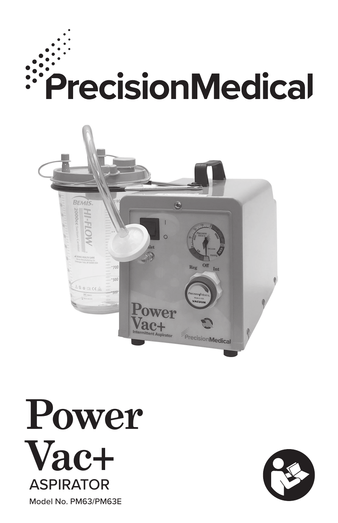





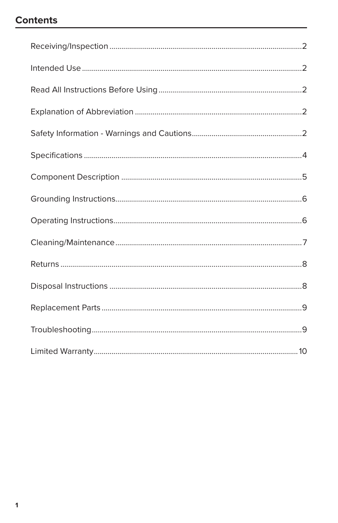## **Contents**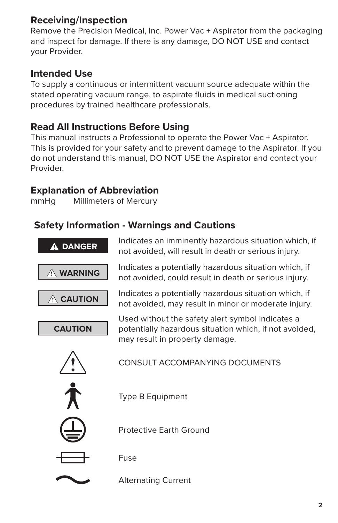## **Receiving/Inspection**

Remove the Precision Medical, Inc. Power Vac + Aspirator from the packaging and inspect for damage. If there is any damage, DO NOT USE and contact your Provider.

## **Intended Use**

To supply a continuous or intermittent vacuum source adequate within the stated operating vacuum range, to aspirate fluids in medical suctioning procedures by trained healthcare professionals.

### **Read All Instructions Before Using**

This manual instructs a Professional to operate the Power Vac + Aspirator. This is provided for your safety and to prevent damage to the Aspirator. If you do not understand this manual, DO NOT USE the Aspirator and contact your Provider.

### **Explanation of Abbreviation**

mmHg Millimeters of Mercury

### **Safety Information - Warnings and Cautions**

| A DANGER         | Indicates an imminently hazardous situation which, if<br>not avoided, will result in death or serious injury.                                |
|------------------|----------------------------------------------------------------------------------------------------------------------------------------------|
| <b>WARNING</b>   | Indicates a potentially hazardous situation which, if<br>not avoided, could result in death or serious injury.                               |
| $\wedge$ CAUTION | Indicates a potentially hazardous situation which, if<br>not avoided, may result in minor or moderate injury.                                |
| <b>CAUTION</b>   | Used without the safety alert symbol indicates a<br>potentially hazardous situation which, if not avoided,<br>may result in property damage. |
|                  | CONSULT ACCOMPANYING DOCUMENTS                                                                                                               |
|                  | Type B Equipment                                                                                                                             |
|                  | Protective Farth Ground                                                                                                                      |
|                  | Fuse                                                                                                                                         |
|                  | <b>Alternating Current</b>                                                                                                                   |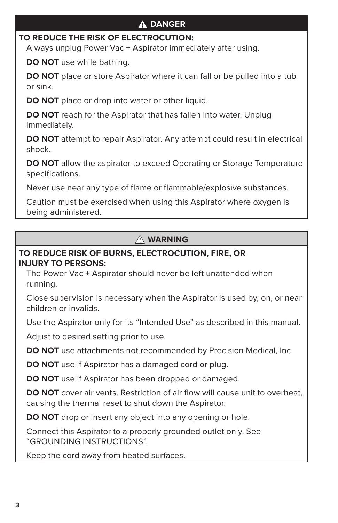### **DANGER**

#### **TO REDUCE THE RISK OF ELECTROCUTION:**

Always unplug Power Vac + Aspirator immediately after using.

**DO NOT** use while bathing.

**DO NOT** place or store Aspirator where it can fall or be pulled into a tub or sink.

**DO NOT** place or drop into water or other liquid.

**DO NOT** reach for the Aspirator that has fallen into water. Unplug immediately.

**DO NOT** attempt to repair Aspirator. Any attempt could result in electrical shock.

**DO NOT** allow the aspirator to exceed Operating or Storage Temperature specifications.

Never use near any type of flame or flammable/explosive substances.

Caution must be exercised when using this Aspirator where oxygen is being administered.

### **WARNING**

#### **TO REDUCE RISK OF BURNS, ELECTROCUTION, FIRE, OR INJURY TO PERSONS:**

The Power Vac + Aspirator should never be left unattended when running.

Close supervision is necessary when the Aspirator is used by, on, or near children or invalids.

Use the Aspirator only for its "Intended Use" as described in this manual.

Adjust to desired setting prior to use.

**DO NOT** use attachments not recommended by Precision Medical, Inc.

**DO NOT** use if Aspirator has a damaged cord or plug.

**DO NOT** use if Aspirator has been dropped or damaged.

**DO NOT** cover air vents. Restriction of air flow will cause unit to overheat, causing the thermal reset to shut down the Aspirator.

**DO NOT** drop or insert any object into any opening or hole.

Connect this Aspirator to a properly grounded outlet only. See "GROUNDING INSTRUCTIONS".

Keep the cord away from heated surfaces.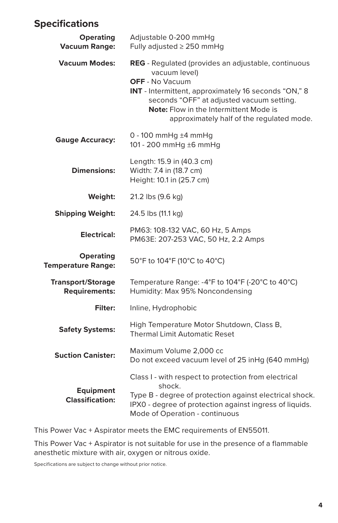## **Specifications**

| <b>Operating</b><br><b>Vacuum Range:</b>         | Adjustable 0-200 mmHg<br>Fully adjusted $\geq$ 250 mmHg                                                                                                                                                                                                                                           |  |
|--------------------------------------------------|---------------------------------------------------------------------------------------------------------------------------------------------------------------------------------------------------------------------------------------------------------------------------------------------------|--|
| <b>Vacuum Modes:</b>                             | <b>REG</b> - Regulated (provides an adjustable, continuous<br>vacuum level)<br><b>OFF</b> - No Vacuum<br>INT - Intermittent, approximately 16 seconds "ON," 8<br>seconds "OFF" at adjusted vacuum setting.<br>Note: Flow in the Intermittent Mode is<br>approximately half of the regulated mode. |  |
| <b>Gauge Accuracy:</b>                           | 0 - 100 mmHg $±4$ mmHg<br>101 - 200 mmHg ±6 mmHg                                                                                                                                                                                                                                                  |  |
| <b>Dimensions:</b>                               | Length: 15.9 in (40.3 cm)<br>Width: 7.4 in (18.7 cm)<br>Height: 10.1 in (25.7 cm)                                                                                                                                                                                                                 |  |
| Weight:                                          | 21.2 lbs (9.6 kg)                                                                                                                                                                                                                                                                                 |  |
| <b>Shipping Weight:</b>                          | 24.5 lbs (11.1 kg)                                                                                                                                                                                                                                                                                |  |
| Electrical:                                      | PM63: 108-132 VAC, 60 Hz, 5 Amps<br>PM63E: 207-253 VAC, 50 Hz, 2.2 Amps                                                                                                                                                                                                                           |  |
| <b>Operating</b><br><b>Temperature Range:</b>    | 50°F to 104°F (10°C to 40°C)                                                                                                                                                                                                                                                                      |  |
| <b>Transport/Storage</b><br><b>Requirements:</b> | Temperature Range: -4°F to 104°F (-20°C to 40°C)<br>Humidity: Max 95% Noncondensing                                                                                                                                                                                                               |  |
| Filter:                                          | Inline, Hydrophobic                                                                                                                                                                                                                                                                               |  |
| <b>Safety Systems:</b>                           | High Temperature Motor Shutdown, Class B,<br><b>Thermal Limit Automatic Reset</b>                                                                                                                                                                                                                 |  |
| <b>Suction Canister:</b>                         | Maximum Volume 2,000 cc<br>Do not exceed vacuum level of 25 inHg (640 mmHg)                                                                                                                                                                                                                       |  |
| <b>Equipment</b><br><b>Classification:</b>       | Class I - with respect to protection from electrical<br>shock.<br>Type B - degree of protection against electrical shock.<br>IPX0 - degree of protection against ingress of liquids.<br>Mode of Operation - continuous                                                                            |  |

This Power Vac + Aspirator meets the EMC requirements of EN55011.

This Power Vac + Aspirator is not suitable for use in the presence of a flammable anesthetic mixture with air, oxygen or nitrous oxide.

Specifications are subject to change without prior notice.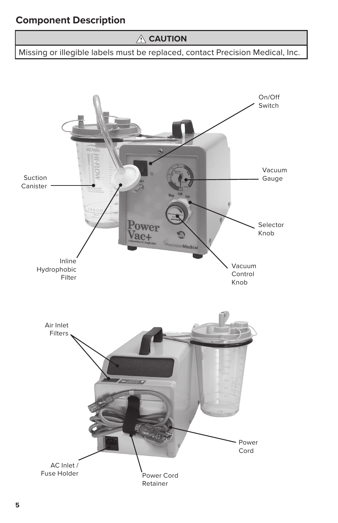## **Component Description**

### **CAUTION**

Missing or illegible labels must be replaced, contact Precision Medical, Inc.

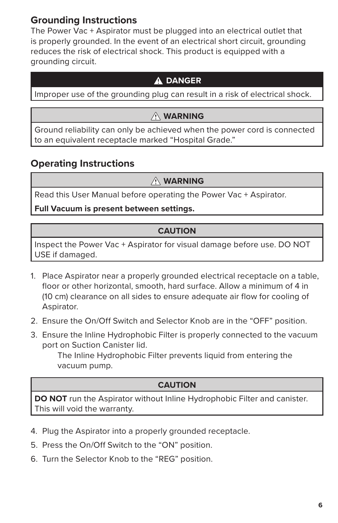## **Grounding Instructions**

The Power Vac + Aspirator must be plugged into an electrical outlet that is properly grounded. In the event of an electrical short circuit, grounding reduces the risk of electrical shock. This product is equipped with a grounding circuit.

#### **DANGER**

Improper use of the grounding plug can result in a risk of electrical shock.

### **WARNING**

Ground reliability can only be achieved when the power cord is connected to an equivalent receptacle marked "Hospital Grade."

### **Operating Instructions**

#### **WARNING**

Read this User Manual before operating the Power Vac + Aspirator.

**Full Vacuum is present between settings.**

#### **CAUTION**

Inspect the Power Vac + Aspirator for visual damage before use. DO NOT USE if damaged.

- 1. Place Aspirator near a properly grounded electrical receptacle on a table, floor or other horizontal, smooth, hard surface. Allow a minimum of 4 in (10 cm) clearance on all sides to ensure adequate air flow for cooling of Aspirator.
- 2. Ensure the On/Off Switch and Selector Knob are in the "OFF" position.
- 3. Ensure the Inline Hydrophobic Filter is properly connected to the vacuum port on Suction Canister lid.

The Inline Hydrophobic Filter prevents liquid from entering the vacuum pump.

#### **CAUTION**

**DO NOT** run the Aspirator without Inline Hydrophobic Filter and canister. This will void the warranty.

- 4. Plug the Aspirator into a properly grounded receptacle.
- 5. Press the On/Off Switch to the "ON" position.
- 6. Turn the Selector Knob to the "REG" position.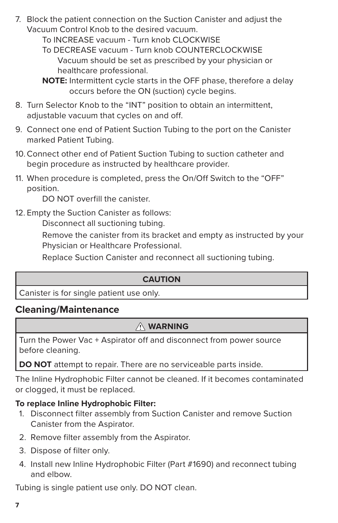7. Block the patient connection on the Suction Canister and adjust the Vacuum Control Knob to the desired vacuum.

> To INCREASE vacuum - Turn knob CLOCKWISE To DECREASE vacuum - Turn knob COUNTERCLOCKWISE Vacuum should be set as prescribed by your physician or healthcare professional.

- 8. Turn Selector Knob to the "INT" position to obtain an intermittent, adjustable vacuum that cycles on and off.
- 9. Connect one end of Patient Suction Tubing to the port on the Canister marked Patient Tubing.
- 10.Connect other end of Patient Suction Tubing to suction catheter and begin procedure as instructed by healthcare provider.
- 11. When procedure is completed, press the On/Off Switch to the "OFF" position.

DO NOT overfill the canister.

12. Empty the Suction Canister as follows:

Disconnect all suctioning tubing.

Remove the canister from its bracket and empty as instructed by your Physician or Healthcare Professional.

Replace Suction Canister and reconnect all suctioning tubing.

#### **CAUTION**

Canister is for single patient use only.

### **Cleaning/Maintenance**

### **WARNING**

Turn the Power Vac + Aspirator off and disconnect from power source before cleaning.

**DO NOT** attempt to repair. There are no serviceable parts inside.

The Inline Hydrophobic Filter cannot be cleaned. If it becomes contaminated or clogged, it must be replaced.

#### **To replace Inline Hydrophobic Filter:**

- 1. Disconnect filter assembly from Suction Canister and remove Suction Canister from the Aspirator.
- 2. Remove filter assembly from the Aspirator.
- 3. Dispose of filter only.
- 4. Install new Inline Hydrophobic Filter (Part #1690) and reconnect tubing and elbow.

Tubing is single patient use only. DO NOT clean.

**NOTE:** Intermittent cycle starts in the OFF phase, therefore a delay occurs before the ON (suction) cycle begins.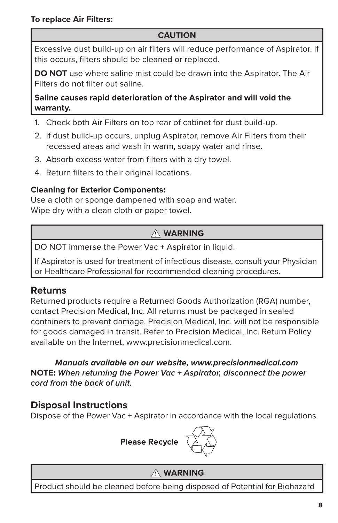### **CAUTION**

Excessive dust build-up on air filters will reduce performance of Aspirator. If this occurs, filters should be cleaned or replaced.

**DO NOT** use where saline mist could be drawn into the Aspirator. The Air Filters do not filter out saline.

#### **Saline causes rapid deterioration of the Aspirator and will void the warranty.**

- 1. Check both Air Filters on top rear of cabinet for dust build-up.
- 2. If dust build-up occurs, unplug Aspirator, remove Air Filters from their recessed areas and wash in warm, soapy water and rinse.
- 3. Absorb excess water from filters with a dry towel.
- 4. Return filters to their original locations.

### **Cleaning for Exterior Components:**

Use a cloth or sponge dampened with soap and water. Wipe dry with a clean cloth or paper towel.

## **WARNING**

DO NOT immerse the Power Vac + Aspirator in liquid.

If Aspirator is used for treatment of infectious disease, consult your Physician or Healthcare Professional for recommended cleaning procedures.

### **Returns**

Returned products require a Returned Goods Authorization (RGA) number, contact Precision Medical, Inc. All returns must be packaged in sealed containers to prevent damage. Precision Medical, Inc. will not be responsible for goods damaged in transit. Refer to Precision Medical, Inc. Return Policy available on the Internet, www.precisionmedical.com.

*Manuals available on our website, www.precisionmedical.com* **NOTE:** *When returning the Power Vac + Aspirator, disconnect the power cord from the back of unit.*

## **Disposal Instructions**

Dispose of the Power Vac + Aspirator in accordance with the local regulations.



### **WARNING**

Product should be cleaned before being disposed of Potential for Biohazard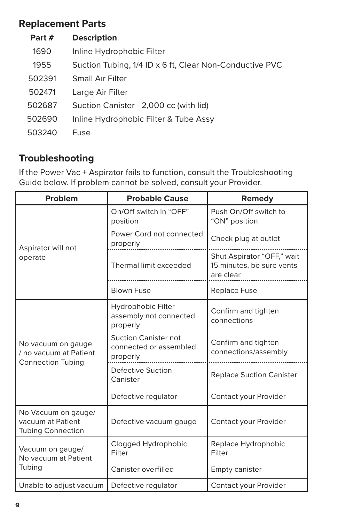## **Replacement Parts**

| Part # | <b>Description</b>                                      |
|--------|---------------------------------------------------------|
| 1690   | Inline Hydrophobic Filter                               |
| 1955   | Suction Tubing, 1/4 ID x 6 ft, Clear Non-Conductive PVC |
| 502391 | <b>Small Air Filter</b>                                 |
| 502471 | Large Air Filter                                        |
| 502687 | Suction Canister - 2,000 cc (with lid)                  |
| 502690 | Inline Hydrophobic Filter & Tube Assy                   |
| 503240 | Fuse                                                    |

## **Troubleshooting**

If the Power Vac + Aspirator fails to function, consult the Troubleshooting Guide below. If problem cannot be solved, consult your Provider.

| Problem                                                                  | <b>Probable Cause</b>                                             | Remedy                                                               |
|--------------------------------------------------------------------------|-------------------------------------------------------------------|----------------------------------------------------------------------|
| Aspirator will not<br>operate                                            | On/Off switch in "OFF"<br>position                                | Push On/Off switch to<br>"ON" position                               |
|                                                                          | Power Cord not connected<br>properly                              | Check plug at outlet                                                 |
|                                                                          | Thermal limit exceeded                                            | Shut Aspirator "OFF," wait<br>15 minutes, be sure vents<br>are clear |
|                                                                          | <b>Blown Fuse</b>                                                 | <b>Replace Fuse</b>                                                  |
| No vacuum on gauge<br>/ no vacuum at Patient<br><b>Connection Tubing</b> | Hydrophobic Filter<br>assembly not connected<br>properly          | Confirm and tighten<br>connections                                   |
|                                                                          | <b>Suction Canister not</b><br>connected or assembled<br>properly | Confirm and tighten<br>connections/assembly                          |
|                                                                          | <b>Defective Suction</b><br>Canister                              | <b>Replace Suction Canister</b>                                      |
|                                                                          | Defective regulator                                               | Contact your Provider                                                |
| No Vacuum on gauge/<br>vacuum at Patient<br><b>Tubing Connection</b>     | Defective vacuum gauge                                            | Contact your Provider                                                |
| Vacuum on gauge/<br>No vacuum at Patient<br>Tubing                       | Clogged Hydrophobic<br>Filter                                     | Replace Hydrophobic<br>Filter                                        |
|                                                                          | Canister overfilled                                               | <b>Empty canister</b>                                                |
| Unable to adjust vacuum                                                  | Defective regulator                                               | Contact your Provider                                                |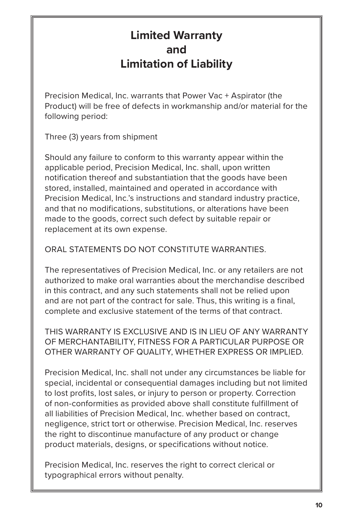# **Limited Warranty and Limitation of Liability**

Precision Medical, Inc. warrants that Power Vac + Aspirator (the Product) will be free of defects in workmanship and/or material for the following period:

Three (3) years from shipment

Should any failure to conform to this warranty appear within the applicable period, Precision Medical, Inc. shall, upon written notification thereof and substantiation that the goods have been stored, installed, maintained and operated in accordance with Precision Medical, Inc.'s instructions and standard industry practice, and that no modifications, substitutions, or alterations have been made to the goods, correct such defect by suitable repair or replacement at its own expense.

ORAL STATEMENTS DO NOT CONSTITUTE WARRANTIES.

The representatives of Precision Medical, Inc. or any retailers are not authorized to make oral warranties about the merchandise described in this contract, and any such statements shall not be relied upon and are not part of the contract for sale. Thus, this writing is a final, complete and exclusive statement of the terms of that contract.

THIS WARRANTY IS EXCLUSIVE AND IS IN LIEU OF ANY WARRANTY OF MERCHANTABILITY, FITNESS FOR A PARTICULAR PURPOSE OR OTHER WARRANTY OF QUALITY, WHETHER EXPRESS OR IMPLIED.

Precision Medical, Inc. shall not under any circumstances be liable for special, incidental or consequential damages including but not limited to lost profits, lost sales, or injury to person or property. Correction of non-conformities as provided above shall constitute fulfillment of all liabilities of Precision Medical, Inc. whether based on contract, negligence, strict tort or otherwise. Precision Medical, Inc. reserves the right to discontinue manufacture of any product or change product materials, designs, or specifications without notice.

Precision Medical, Inc. reserves the right to correct clerical or typographical errors without penalty.